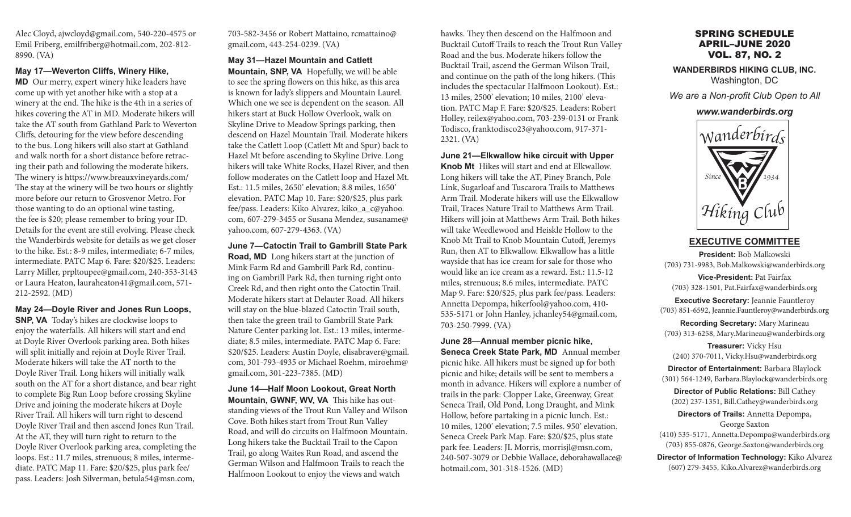Alec Cloyd, ajwcloyd@gmail.com, 540-220-4575 or Emil Friberg, emilfriberg@hotmail.com, 202-812- 8990. (VA)

#### **May 17—Weverton Cliffs, Winery Hike,**

**MD** Our merry, expert winery hike leaders have come up with yet another hike with a stop at a winery at the end. The hike is the 4th in a series of hikes covering the AT in MD. Moderate hikers will take the AT south from Gathland Park to Weverton Cliffs, detouring for the view before descending to the bus. Long hikers will also start at Gathland and walk north for a short distance before retracing their path and following the moderate hikers. The winery is https://www.breauxvineyards.com/ The stay at the winery will be two hours or slightly more before our return to Grosvenor Metro. For those wanting to do an optional wine tasting, the fee is \$20; please remember to bring your ID. Details for the event are still evolving. Please check the Wanderbirds website for details as we get closer to the hike. Est.: 8-9 miles, intermediate; 6-7 miles, intermediate. PATC Map 6. Fare: \$20/\$25. Leaders: Larry Miller, prpltoupee@gmail.com, 240-353-3143 or Laura Heaton, lauraheaton41@gmail.com, 571- 212-2592. (MD)

**May 24—Doyle River and Jones Run Loops, SNP, VA** Today's hikes are clockwise loops to enjoy the waterfalls. All hikers will start and end at Doyle River Overlook parking area. Both hikes will split initially and rejoin at Doyle River Trail. Moderate hikers will take the AT north to the Doyle River Trail. Long hikers will initially walk south on the AT for a short distance, and bear right to complete Big Run Loop before crossing Skyline Drive and joining the moderate hikers at Doyle River Trail. All hikers will turn right to descend Doyle River Trail and then ascend Jones Run Trail. At the AT, they will turn right to return to the Doyle River Overlook parking area, completing the loops. Est.: 11.7 miles, strenuous; 8 miles, intermediate. PATC Map 11. Fare: \$20/\$25, plus park fee/ pass. Leaders: Josh Silverman, betula54@msn.com,

703-582-3456 or Robert Mattaino, rcmattaino@ gmail.com, 443-254-0239. (VA)

## **May 31—Hazel Mountain and Catlett**

**Mountain, SNP, VA** Hopefully, we will be able to see the spring flowers on this hike, as this area is known for lady's slippers and Mountain Laurel. Which one we see is dependent on the season. All hikers start at Buck Hollow Overlook, walk on Skyline Drive to Meadow Springs parking, then descend on Hazel Mountain Trail. Moderate hikers take the Catlett Loop (Catlett Mt and Spur) back to Hazel Mt before ascending to Skyline Drive. Long hikers will take White Rocks, Hazel River, and then follow moderates on the Catlett loop and Hazel Mt. Est.: 11.5 miles, 2650' elevation; 8.8 miles, 1650' elevation. PATC Map 10. Fare: \$20/\$25, plus park fee/pass. Leaders: Kiko Alvarez, kiko\_a\_c@yahoo. com, 607-279-3455 or Susana Mendez, susaname@ yahoo.com, 607-279-4363. (VA)

**June 7—Catoctin Trail to Gambrill State Park Road, MD** Long hikers start at the junction of Mink Farm Rd and Gambrill Park Rd, continuing on Gambrill Park Rd, then turning right onto Creek Rd, and then right onto the Catoctin Trail. Moderate hikers start at Delauter Road. All hikers will stay on the blue-blazed Catoctin Trail south, then take the green trail to Gambrill State Park Nature Center parking lot. Est.: 13 miles, intermediate; 8.5 miles, intermediate. PATC Map 6. Fare: \$20/\$25. Leaders: Austin Doyle, elisabraver@gmail. com, 301-793-4935 or Michael Roehm, miroehm@ gmail.com, 301-223-7385. (MD)

**June 14—Half Moon Lookout, Great North Mountain, GWNF, WV, VA** This hike has outstanding views of the Trout Run Valley and Wilson Cove. Both hikes start from Trout Run Valley Road, and will do circuits on Halfmoon Mountain. Long hikers take the Bucktail Trail to the Capon Trail, go along Waites Run Road, and ascend the German Wilson and Halfmoon Trails to reach the Halfmoon Lookout to enjoy the views and watch

hawks. They then descend on the Halfmoon and Bucktail Cutoff Trails to reach the Trout Run Valley Road and the bus. Moderate hikers follow the Bucktail Trail, ascend the German Wilson Trail, and continue on the path of the long hikers. (This includes the spectacular Halfmoon Lookout). Est.: 13 miles, 2500' elevation; 10 miles, 2100' elevation. PATC Map F. Fare: \$20/\$25. Leaders: Robert Holley, reilex@yahoo.com, 703-239-0131 or Frank Todisco, franktodisco23@yahoo.com, 917-371- 2321. (VA)

#### **June 21—Elkwallow hike circuit with Upper**

**Knob Mt** Hikes will start and end at Elkwallow. Long hikers will take the AT, Piney Branch, Pole Link, Sugarloaf and Tuscarora Trails to Matthews Arm Trail. Moderate hikers will use the Elkwallow Trail, Traces Nature Trail to Matthews Arm Trail. Hikers will join at Matthews Arm Trail. Both hikes will take Weedlewood and Heiskle Hollow to the Knob Mt Trail to Knob Mountain Cutoff, Jeremys Run, then AT to Elkwallow. Elkwallow has a little wayside that has ice cream for sale for those who would like an ice cream as a reward. Est.: 11.5-12 miles, strenuous; 8.6 miles, intermediate. PATC Map 9. Fare: \$20/\$25, plus park fee/pass. Leaders: Annetta Depompa, hikerfool@yahoo.com, 410- 535-5171 or John Hanley, jchanley54@gmail.com, 703-250-7999. (VA)

**June 28—Annual member picnic hike, Seneca Creek State Park, MD** Annual member picnic hike. All hikers must be signed up for both picnic and hike; details will be sent to members a month in advance. Hikers will explore a number of trails in the park: Clopper Lake, Greenway, Great Seneca Trail, Old Pond, Long Draught, and Mink Hollow, before partaking in a picnic lunch. Est.: 10 miles, 1200' elevation; 7.5 miles. 950' elevation. Seneca Creek Park Map. Fare: \$20/\$25, plus state park fee. Leaders: JL Morris, morrisjl@msn.com, 240-507-3079 or Debbie Wallace, deborahawallace@ hotmail.com, 301-318-1526. (MD)

# SPRING SCHEDULE APRIL–JUNE 2020 VOL. 87, NO. 2

**WANDERBIRDS HIKING CLUB, INC.** Washington, DC

*We are a Non-profit Club Open to All*

#### *www.wanderbirds.org*



**EXECUTIVE COMMITTEE**

**President:** Bob Malkowski (703) 731-9983, Bob.Malkowski@wanderbirds.org

**Vice-President:** Pat Fairfax (703) 328-1501, Pat.Fairfax@wanderbirds.org

**Executive Secretary:** Jeannie Fauntleroy (703) 851-6592, Jeannie.Fauntleroy@wanderbirds.org

**Recording Secretary:** Mary Marineau (703) 313-6258, Mary.Marineau@wanderbirds.org

**Treasurer:** Vicky Hsu (240) 370-7011, Vicky.Hsu@wanderbirds.org

**Director of Entertainment:** Barbara Blaylock (301) 564-1249, Barbara.Blaylock@wanderbirds.org

**Director of Public Relations:** Bill Cathey (202) 237-1351, Bill.Cathey@wanderbirds.org

**Directors of Trails:** Annetta Depompa, George Saxton (410) 535-5171, Annetta.Depompa@wanderbirds.org (703) 855-0876, George.Saxton@wanderbirds.org

**Director of Information Technology:** Kiko Alvarez (607) 279-3455, Kiko.Alvarez@wanderbirds.org